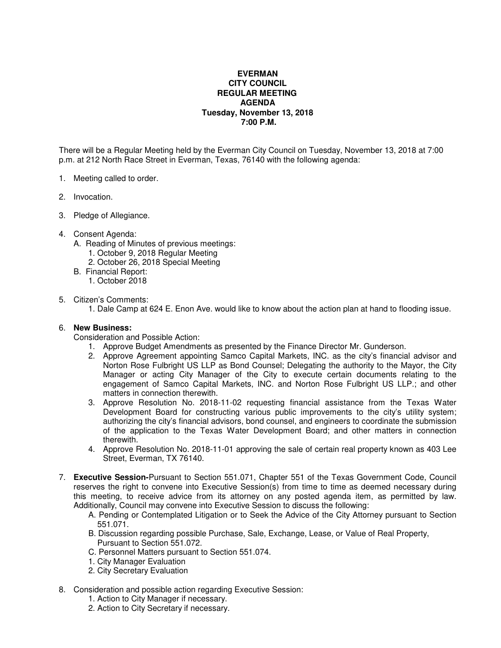## **EVERMAN CITY COUNCIL REGULAR MEETING AGENDA Tuesday, November 13, 2018 7:00 P.M.**

There will be a Regular Meeting held by the Everman City Council on Tuesday, November 13, 2018 at 7:00 p.m. at 212 North Race Street in Everman, Texas, 76140 with the following agenda:

- 1. Meeting called to order.
- 2. Invocation.
- 3. Pledge of Allegiance.
- 4. Consent Agenda:
	- A. Reading of Minutes of previous meetings:
		- 1. October 9, 2018 Regular Meeting
		- 2. October 26, 2018 Special Meeting
	- B. Financial Report:
		- 1. October 2018

## 5. Citizen's Comments:

1. Dale Camp at 624 E. Enon Ave. would like to know about the action plan at hand to flooding issue.

## 6. **New Business:**

Consideration and Possible Action:

- 1. Approve Budget Amendments as presented by the Finance Director Mr. Gunderson.
- 2. Approve Agreement appointing Samco Capital Markets, INC. as the city's financial advisor and Norton Rose Fulbright US LLP as Bond Counsel; Delegating the authority to the Mayor, the City Manager or acting City Manager of the City to execute certain documents relating to the engagement of Samco Capital Markets, INC. and Norton Rose Fulbright US LLP.; and other matters in connection therewith.
- 3. Approve Resolution No. 2018-11-02 requesting financial assistance from the Texas Water Development Board for constructing various public improvements to the city's utility system; authorizing the city's financial advisors, bond counsel, and engineers to coordinate the submission of the application to the Texas Water Development Board; and other matters in connection therewith.
- 4. Approve Resolution No. 2018-11-01 approving the sale of certain real property known as 403 Lee Street, Everman, TX 76140.
- 7. **Executive Session-**Pursuant to Section 551.071, Chapter 551 of the Texas Government Code, Council reserves the right to convene into Executive Session(s) from time to time as deemed necessary during this meeting, to receive advice from its attorney on any posted agenda item, as permitted by law. Additionally, Council may convene into Executive Session to discuss the following:
	- A. Pending or Contemplated Litigation or to Seek the Advice of the City Attorney pursuant to Section 551.071.
	- B. Discussion regarding possible Purchase, Sale, Exchange, Lease, or Value of Real Property, Pursuant to Section 551.072.
	- C. Personnel Matters pursuant to Section 551.074.
	- 1. City Manager Evaluation
	- 2. City Secretary Evaluation
- 8. Consideration and possible action regarding Executive Session:
	- 1. Action to City Manager if necessary.
	- 2. Action to City Secretary if necessary.